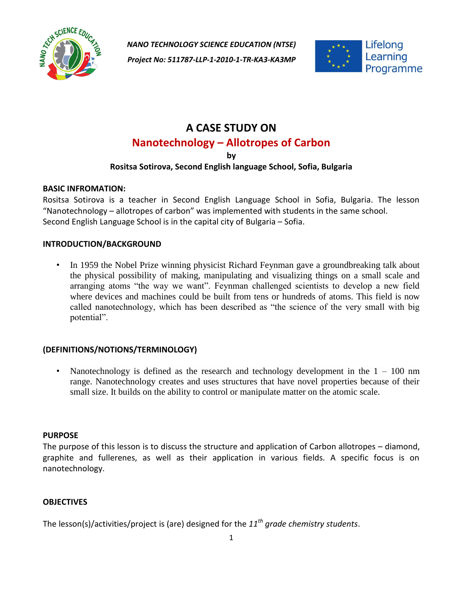

*NANO TECHNOLOGY SCIENCE EDUCATION (NTSE) Project No: 511787-LLP-1-2010-1-TR-KA3-KA3MP*



# **A CASE STUDY ON Nanotechnology – Allotropes of Carbon**

**by**

# **Rositsa Sotirova, Second English language School, Sofia, Bulgaria**

### **BASIC INFROMATION:**

Rositsa Sotirova is a teacher in Second English Language School in Sofia, Bulgaria. The lesson "Nanotechnology – allotropes of carbon" was implemented with students in the same school. Second English Language School is in the capital city of Bulgaria – Sofia.

# **INTRODUCTION/BACKGROUND**

• In 1959 the Nobel Prize winning physicist Richard Feynman gave a groundbreaking talk about the physical possibility of making, manipulating and visualizing things on a small scale and arranging atoms "the way we want". Feynman challenged scientists to develop a new field where devices and machines could be built from tens or hundreds of atoms. This field is now called nanotechnology, which has been described as "the science of the very small with big potential".

#### **(DEFINITIONS/NOTIONS/TERMINOLOGY)**

• Nanotechnology is defined as the research and technology development in the  $1 - 100$  nm range. Nanotechnology creates and uses structures that have novel properties because of their small size. It builds on the ability to control or manipulate matter on the atomic scale.

#### **PURPOSE**

The purpose of this lesson is to discuss the structure and application of Carbon allotropes – diamond, graphite and fullerenes, as well as their application in various fields. A specific focus is on nanotechnology.

#### **OBJECTIVES**

The lesson(s)/activities/project is (are) designed for the *11th grade chemistry students*.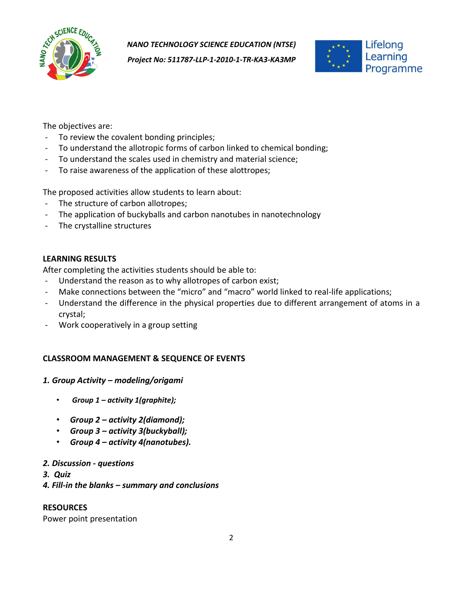

*Project No: 511787-LLP-1-2010-1-TR-KA3-KA3MP*



The objectives are:

- To review the covalent bonding principles;
- To understand the allotropic forms of carbon linked to chemical bonding;
- To understand the scales used in chemistry and material science;
- To raise awareness of the application of these alottropes;

The proposed activities allow students to learn about:

- The structure of carbon allotropes;
- The application of buckyballs and carbon nanotubes in nanotechnology
- The crystalline structures

# **LEARNING RESULTS**

After completing the activities students should be able to:

- Understand the reason as to why allotropes of carbon exist;
- Make connections between the "micro" and "macro" world linked to real-life applications;
- Understand the difference in the physical properties due to different arrangement of atoms in a crystal;
- Work cooperatively in a group setting

# **CLASSROOM MANAGEMENT & SEQUENCE OF EVENTS**

# *1. Group Activity – modeling/origami*

- *Group 1 – activity 1(graphite);*
- *Group 2 – activity 2(diamond);*
- *Group 3 – activity 3(buckyball);*
- *Group 4 – activity 4(nanotubes).*
- *2. Discussion - questions*
- *3. Quiz*
- *4. Fill-in the blanks – summary and conclusions*

# **RESOURCES**

Power point presentation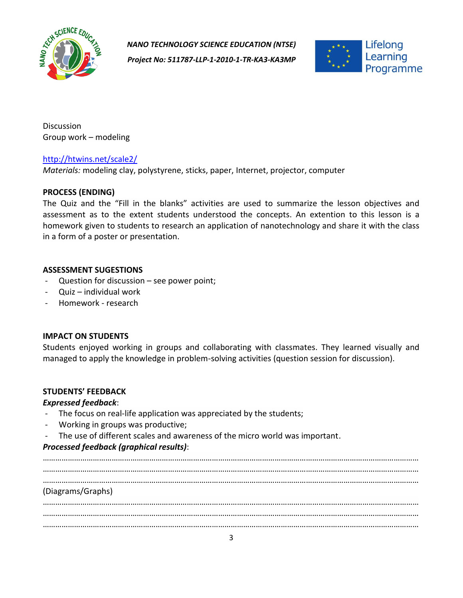

*Project No: 511787-LLP-1-2010-1-TR-KA3-KA3MP*



Discussion Group work – modeling

# <http://htwins.net/scale2/>

*Materials:* modeling clay, polystyrene, sticks, paper, Internet, projector, computer

### **PROCESS (ENDING)**

The Quiz and the "Fill in the blanks" activities are used to summarize the lesson objectives and assessment as to the extent students understood the concepts. An extention to this lesson is a homework given to students to research an application of nanotechnology and share it with the class in a form of a poster or presentation.

### **ASSESSMENT SUGESTIONS**

- Question for discussion see power point;
- Quiz individual work
- Homework research

# **IMPACT ON STUDENTS**

Students enjoyed working in groups and collaborating with classmates. They learned visually and managed to apply the knowledge in problem-solving activities (question session for discussion).

#### **STUDENTS' FEEDBACK**

#### *Expressed feedback*:

- The focus on real-life application was appreciated by the students;
- Working in groups was productive;
- The use of different scales and awareness of the micro world was important.

# *Processed feedback (graphical results)*:

| (Diagrams/Graphs) |  |  |  |
|-------------------|--|--|--|
|                   |  |  |  |
|                   |  |  |  |
|                   |  |  |  |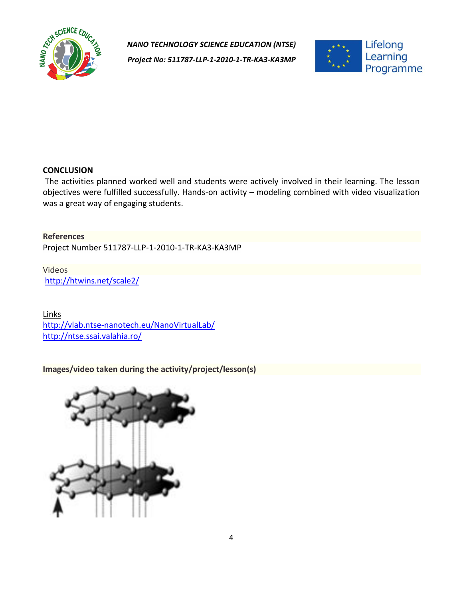

*Project No: 511787-LLP-1-2010-1-TR-KA3-KA3MP*



#### **CONCLUSION**

The activities planned worked well and students were actively involved in their learning. The lesson objectives were fulfilled successfully. Hands-on activity – modeling combined with video visualization was a great way of engaging students.

**References**

Project Number 511787-LLP-1-2010-1-TR-KA3-KA3MP

Videos <http://htwins.net/scale2/>

Links <http://vlab.ntse-nanotech.eu/NanoVirtualLab/> <http://ntse.ssai.valahia.ro/>

**Images/video taken during the activity/project/lesson(s)**

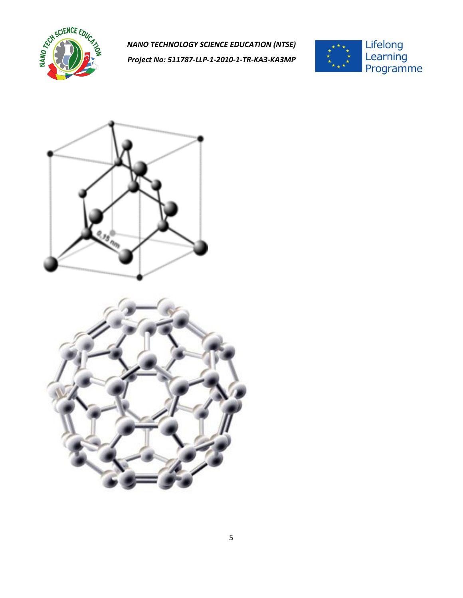